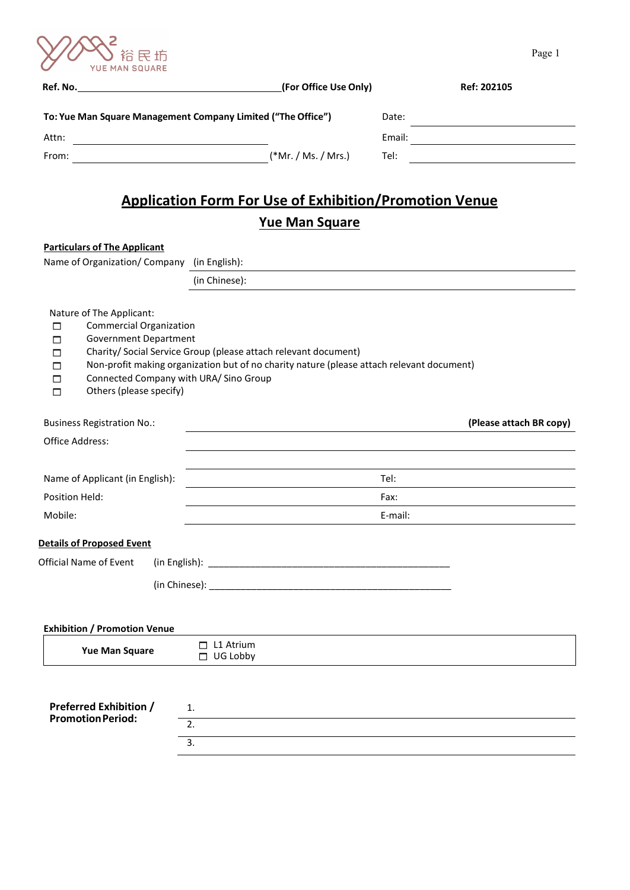

|                                                                                                                                                                                                   | (For Office Use Only)                                                                                                                                        |         | Ref: 202105             |
|---------------------------------------------------------------------------------------------------------------------------------------------------------------------------------------------------|--------------------------------------------------------------------------------------------------------------------------------------------------------------|---------|-------------------------|
|                                                                                                                                                                                                   | To: Yue Man Square Management Company Limited ("The Office")                                                                                                 | Date:   |                         |
| Attn:                                                                                                                                                                                             |                                                                                                                                                              |         |                         |
| From:                                                                                                                                                                                             | (*Mr. / Ms. / Mrs.)                                                                                                                                          | Tel:    |                         |
|                                                                                                                                                                                                   | <b>Application Form For Use of Exhibition/Promotion Venue</b><br><b>Yue Man Square</b>                                                                       |         |                         |
| <b>Particulars of The Applicant</b>                                                                                                                                                               |                                                                                                                                                              |         |                         |
| Name of Organization/ Company (in English):                                                                                                                                                       |                                                                                                                                                              |         |                         |
|                                                                                                                                                                                                   | (in Chinese):                                                                                                                                                |         |                         |
| <b>Commercial Organization</b><br><b>Government Department</b><br>п<br>п<br>п<br>Connected Company with URA/ Sino Group<br>□<br>Others (please specify)<br>□<br><b>Business Registration No.:</b> | Charity/ Social Service Group (please attach relevant document)<br>Non-profit making organization but of no charity nature (please attach relevant document) |         | (Please attach BR copy) |
| Office Address:                                                                                                                                                                                   |                                                                                                                                                              |         |                         |
|                                                                                                                                                                                                   |                                                                                                                                                              | Tel:    |                         |
| Name of Applicant (in English):<br>Position Held:                                                                                                                                                 |                                                                                                                                                              | Fax:    |                         |
| Mobile:                                                                                                                                                                                           |                                                                                                                                                              | E-mail: |                         |
|                                                                                                                                                                                                   |                                                                                                                                                              |         |                         |
|                                                                                                                                                                                                   |                                                                                                                                                              |         |                         |
|                                                                                                                                                                                                   |                                                                                                                                                              |         |                         |
|                                                                                                                                                                                                   |                                                                                                                                                              |         |                         |
| <b>Details of Proposed Event</b><br>Official Name of Event                                                                                                                                        |                                                                                                                                                              |         |                         |
|                                                                                                                                                                                                   |                                                                                                                                                              |         |                         |
| <b>Exhibition / Promotion Venue</b><br><b>Yue Man Square</b>                                                                                                                                      | $\Box$ L1 Atrium<br>$\Box$ UG Lobby                                                                                                                          |         |                         |
| <b>Preferred Exhibition /</b><br><b>Promotion Period:</b>                                                                                                                                         | 1.<br>2.                                                                                                                                                     |         |                         |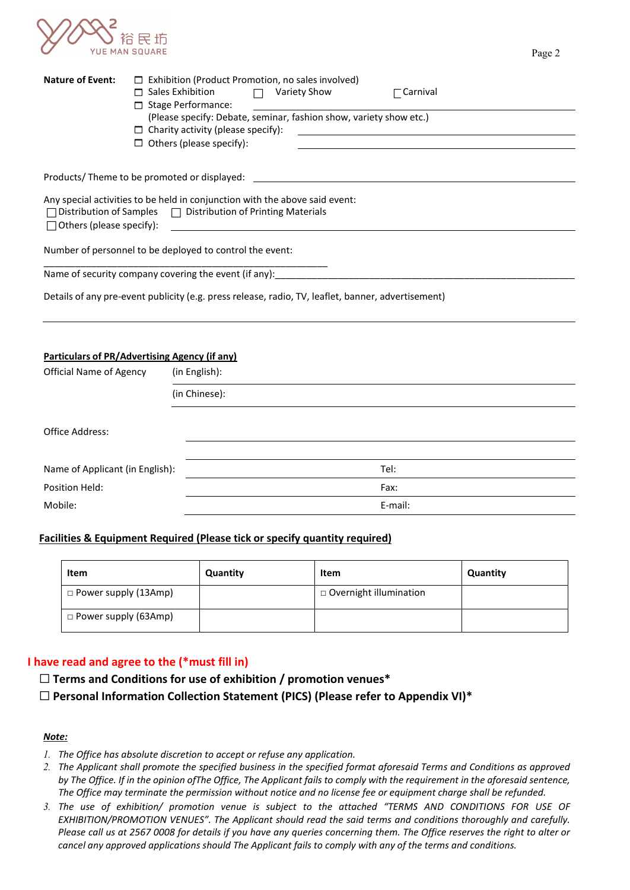

| <b>Nature of Event:</b>         | $\Box$ Sales Exhibition<br>$\Box$ Stage Performance:<br>$\Box$ Charity activity (please specify):<br>$\Box$ Others (please specify): | $\Box$ Exhibition (Product Promotion, no sales involved)<br>Variety Show<br>(Please specify: Debate, seminar, fashion show, variety show etc.) | $\Gamma$ Carnival<br><u> 1989 - Andrea Station Barbara, amerikan personal personal personal personal personal personal personal personal per</u> |  |
|---------------------------------|--------------------------------------------------------------------------------------------------------------------------------------|------------------------------------------------------------------------------------------------------------------------------------------------|--------------------------------------------------------------------------------------------------------------------------------------------------|--|
|                                 | Products/ Theme to be promoted or displayed:                                                                                         |                                                                                                                                                |                                                                                                                                                  |  |
| $\Box$ Others (please specify): | $\Box$ Distribution of Samples $\Box$ Distribution of Printing Materials                                                             | Any special activities to be held in conjunction with the above said event:                                                                    |                                                                                                                                                  |  |
|                                 | Number of personnel to be deployed to control the event:                                                                             |                                                                                                                                                |                                                                                                                                                  |  |
|                                 |                                                                                                                                      |                                                                                                                                                |                                                                                                                                                  |  |
|                                 |                                                                                                                                      | Details of any pre-event publicity (e.g. press release, radio, TV, leaflet, banner, advertisement)                                             |                                                                                                                                                  |  |
|                                 | <b>Particulars of PR/Advertising Agency (if any)</b>                                                                                 |                                                                                                                                                |                                                                                                                                                  |  |
| <b>Official Name of Agency</b>  | (in English):                                                                                                                        |                                                                                                                                                |                                                                                                                                                  |  |
|                                 | (in Chinese):                                                                                                                        |                                                                                                                                                |                                                                                                                                                  |  |
| Office Address:                 |                                                                                                                                      |                                                                                                                                                |                                                                                                                                                  |  |
| Name of Applicant (in English): |                                                                                                                                      |                                                                                                                                                | Tel:                                                                                                                                             |  |

# Mobile: E-mail:

# **Facilities & Equipment Required (Please tick or specify quantity required)**

Position Held: Fax:

| Item                        | Quantity | Item                          | Quantity |
|-----------------------------|----------|-------------------------------|----------|
| $\Box$ Power supply (13Amp) |          | $\Box$ Overnight illumination |          |
| $\Box$ Power supply (63Amp) |          |                               |          |

# **I have read and agree to the (\*must fill in)**

☐ **Terms and Conditions for use of exhibition / promotion venues\*** 

☐ **Personal Information Collection Statement (PICS) (Please refer to Appendix VI)\*** 

# *Note:*

- *1. The Office has absolute discretion to accept or refuse any application.*
- *2. The Applicant shall promote the specified business in the specified format aforesaid Terms and Conditions as approved by The Office. If in the opinion ofThe Office, The Applicant fails to comply with the requirement in the aforesaid sentence, The Office may terminate the permission without notice and no license fee or equipment charge shall be refunded.*
- *3. The use of exhibition/ promotion venue is subject to the attached "TERMS AND CONDITIONS FOR USE OF EXHIBITION/PROMOTION VENUES". The Applicant should read the said terms and conditions thoroughly and carefully. Please call us at 2567 0008 for details if you have any queries concerning them. The Office reserves the right to alter or cancel any approved applications should The Applicant fails to comply with any of the terms and conditions.*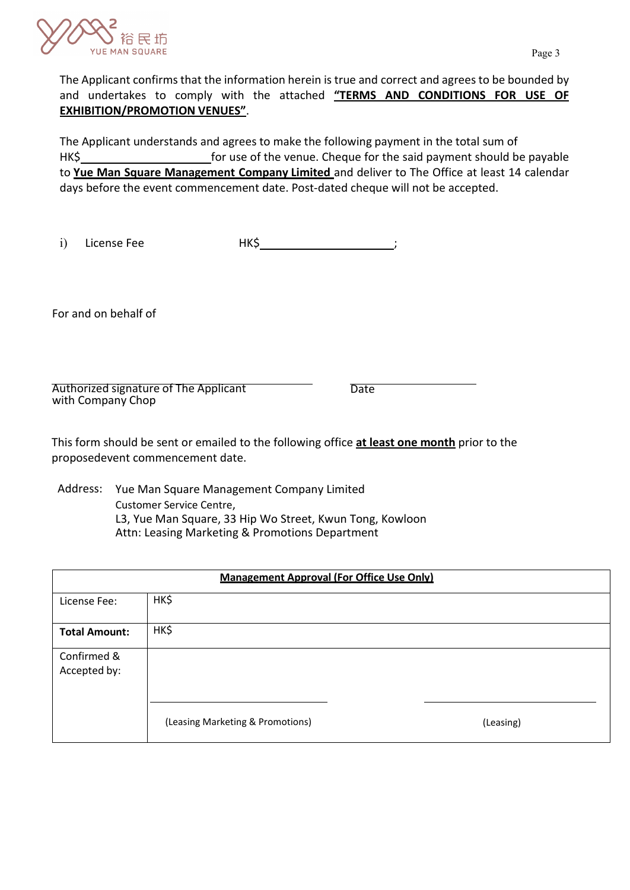

The Applicant confirms that the information herein is true and correct and agrees to be bounded by and undertakes to comply with the attached **"TERMS AND CONDITIONS FOR USE OF EXHIBITION/PROMOTION VENUES"**.

The Applicant understands and agrees to make the following payment in the total sum of HK\$ to **Yue Man Square Management Company Limited** and deliver to The Office at least 14 calendar days before the event commencement date. Post-dated cheque will not be accepted.

i) License Fee HK\$

For and on behalf of

Authorized signature of The Applicant with Company Chop

**Date** 

This form should be sent or emailed to the following office **at least one month** prior to the proposedevent commencement date.

Address: Yue Man Square Management Company Limited Customer Service Centre, L3, Yue Man Square, 33 Hip Wo Street, Kwun Tong, Kowloon Attn: Leasing Marketing & Promotions Department

| <b>Management Approval (For Office Use Only)</b> |                                  |           |
|--------------------------------------------------|----------------------------------|-----------|
| License Fee:                                     | HK\$                             |           |
| <b>Total Amount:</b>                             | HK\$                             |           |
| Confirmed &<br>Accepted by:                      |                                  |           |
|                                                  | (Leasing Marketing & Promotions) | (Leasing) |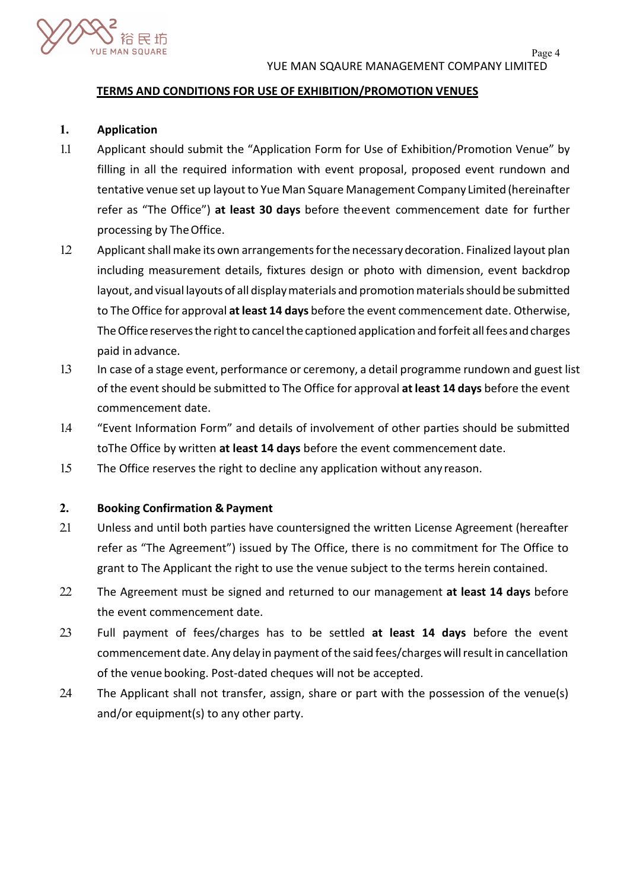

## **TERMS AND CONDITIONS FOR USE OF EXHIBITION/PROMOTION VENUES**

# **1. Application**

- 1.1 Applicant should submit the "Application Form for Use of Exhibition/Promotion Venue" by filling in all the required information with event proposal, proposed event rundown and tentative venue set up layout to Yue Man Square Management Company Limited (hereinafter refer as "The Office") **at least 30 days** before theevent commencement date for further processing by The Office.
- 12 Applicant shall make its own arrangements for the necessary decoration. Finalized layout plan including measurement details, fixtures design or photo with dimension, event backdrop layout, and visual layouts of all displaymaterials and promotionmaterialsshould be submitted to The Office for approval **atleast 14 days** before the event commencement date. Otherwise, The Office reserves the right to cancel the captioned application and forfeit all fees and charges paid in advance.
- 1.3 In case of a stage event, performance or ceremony, a detail programme rundown and guest list of the event should be submitted to The Office for approval **at least 14 days** before the event commencement date.
- 1.4 "Event Information Form" and details of involvement of other parties should be submitted toThe Office by written **at least 14 days** before the event commencement date.
- 1.5 The Office reserves the right to decline any application without any reason.

# **2. Booking Confirmation & Payment**

- 2.1 Unless and until both parties have countersigned the written License Agreement (hereafter refer as "The Agreement") issued by The Office, there is no commitment for The Office to grant to The Applicant the right to use the venue subject to the terms herein contained.
- 2.2 The Agreement must be signed and returned to our management **at least 14 days** before the event commencement date.
- 2.3 Full payment of fees/charges has to be settled **at least 14 days** before the event commencement date. Any delay in payment of the said fees/charges will result in cancellation of the venue booking. Post-dated cheques will not be accepted.
- 2.4 The Applicant shall not transfer, assign, share or part with the possession of the venue(s) and/or equipment(s) to any other party.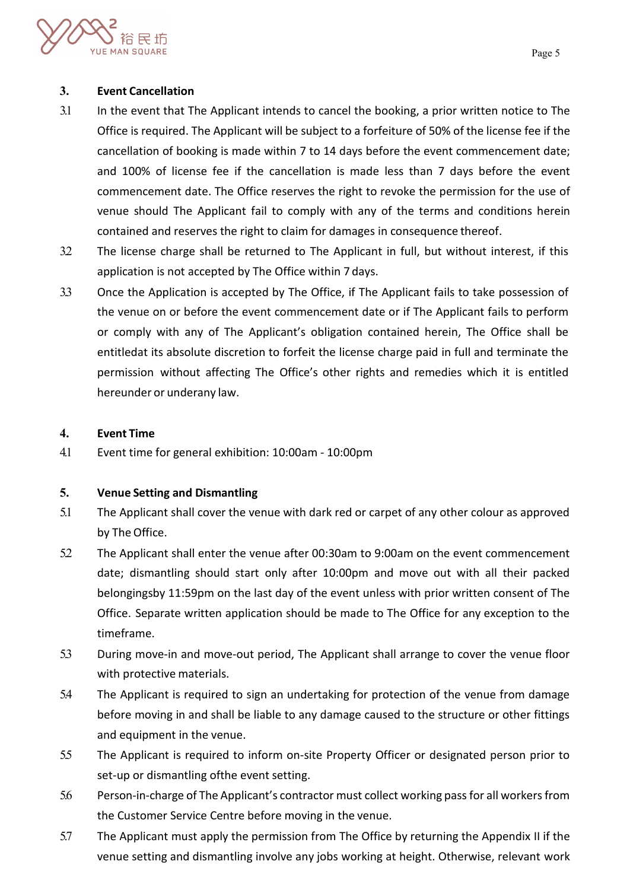

# **3. Event Cancellation**

- 3.1 In the event that The Applicant intends to cancel the booking, a prior written notice to The Office is required. The Applicant will be subject to a forfeiture of 50% of the license fee if the cancellation of booking is made within 7 to 14 days before the event commencement date; and 100% of license fee if the cancellation is made less than 7 days before the event commencement date. The Office reserves the right to revoke the permission for the use of venue should The Applicant fail to comply with any of the terms and conditions herein contained and reserves the right to claim for damages in consequence thereof.
- 3.2 The license charge shall be returned to The Applicant in full, but without interest, if this application is not accepted by The Office within 7 days.
- 3.3 Once the Application is accepted by The Office, if The Applicant fails to take possession of the venue on or before the event commencement date or if The Applicant fails to perform or comply with any of The Applicant's obligation contained herein, The Office shall be entitledat its absolute discretion to forfeit the license charge paid in full and terminate the permission without affecting The Office's other rights and remedies which it is entitled hereunder or underany law.

# **4. Event Time**

4.1 Event time for general exhibition: 10:00am - 10:00pm

# **5. Venue Setting and Dismantling**

- 5.1 The Applicant shall cover the venue with dark red or carpet of any other colour as approved by The Office.
- 5.2 The Applicant shall enter the venue after 00:30am to 9:00am on the event commencement date; dismantling should start only after 10:00pm and move out with all their packed belongingsby 11:59pm on the last day of the event unless with prior written consent of The Office. Separate written application should be made to The Office for any exception to the timeframe.
- 5.3 During move-in and move-out period, The Applicant shall arrange to cover the venue floor with protective materials.
- 5.4 The Applicant is required to sign an undertaking for protection of the venue from damage before moving in and shall be liable to any damage caused to the structure or other fittings and equipment in the venue.
- 5.5 The Applicant is required to inform on-site Property Officer or designated person prior to set-up or dismantling ofthe event setting.
- 5.6 Person-in-charge of The Applicant's contractor must collect working pass for all workers from the Customer Service Centre before moving in the venue.
- 5.7 The Applicant must apply the permission from The Office by returning the Appendix II if the venue setting and dismantling involve any jobs working at height. Otherwise, relevant work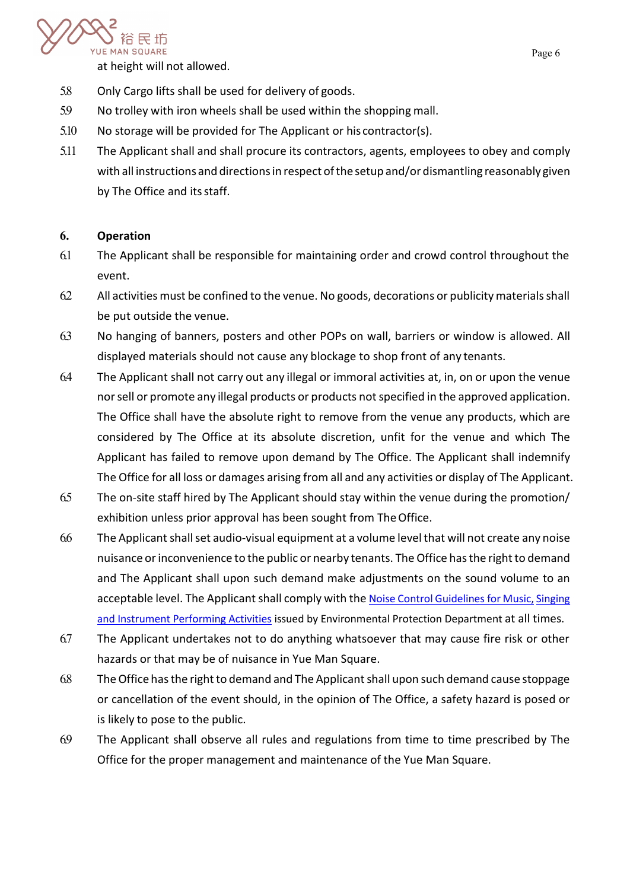

at height will not allowed.

- 5.8 Only Cargo lifts shall be used for delivery of goods.
- 5.9 No trolley with iron wheels shall be used within the shopping mall.
- 5.10 No storage will be provided for The Applicant or his contractor(s).
- 5.11 The Applicant shall and shall procure its contractors, agents, employees to obey and comply with all instructions and directions in respect of the setup and/or dismantling reasonably given by The Office and its staff.

# **6. Operation**

- 6.1 The Applicant shall be responsible for maintaining order and crowd control throughout the event.
- 6.2 All activities must be confined to the venue. No goods, decorations or publicity materials shall be put outside the venue.
- 6.3 No hanging of banners, posters and other POPs on wall, barriers or window is allowed. All displayed materials should not cause any blockage to shop front of any tenants.
- 6.4 The Applicant shall not carry out any illegal or immoral activities at, in, on or upon the venue nor sell or promote any illegal products or products not specified in the approved application. The Office shall have the absolute right to remove from the venue any products, which are considered by The Office at its absolute discretion, unfit for the venue and which The Applicant has failed to remove upon demand by The Office. The Applicant shall indemnify The Office for all loss or damages arising from all and any activities or display of The Applicant.
- 6.5 The on-site staff hired by The Applicant should stay within the venue during the promotion/ exhibition unless prior approval has been sought from The Office.
- 6.6 The Applicantshallset audio-visual equipment at a volume levelthat will not create any noise nuisance or inconvenience to the public or nearby tenants. The Office has the right to demand and The Applicant shall upon such demand make adjustments on the sound volume to an acceptable level. The Applicant shall comply with the [Noise Control Guidelines for Music,](https://www.epd.gov.hk/epd/sites/default/files/epd/english/environmentinhk/noise/help_corner/files/a_entgui_e.pdf) Singing [and Instrument Performing Activities](https://www.epd.gov.hk/epd/sites/default/files/epd/english/environmentinhk/noise/help_corner/files/a_entgui_e.pdf) issued by Environmental Protection Department at all times.
- 6.7 The Applicant undertakes not to do anything whatsoever that may cause fire risk or other hazards or that may be of nuisance in Yue Man Square.
- 6.8 The Office has the right to demand and The Applicant shall upon such demand cause stoppage or cancellation of the event should, in the opinion of The Office, a safety hazard is posed or is likely to pose to the public.
- 6.9 The Applicant shall observe all rules and regulations from time to time prescribed by The Office for the proper management and maintenance of the Yue Man Square.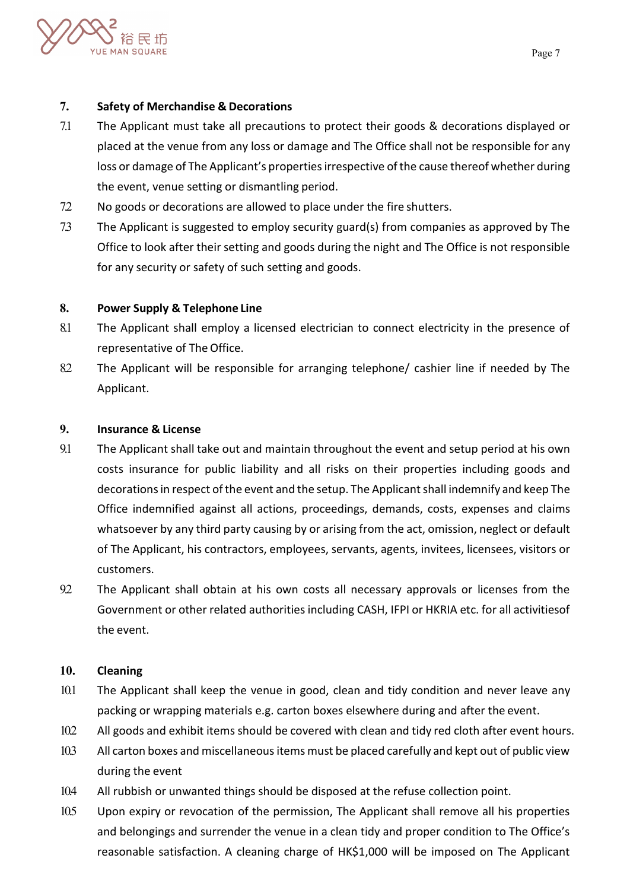

# **7. Safety of Merchandise & Decorations**

- 7.1 The Applicant must take all precautions to protect their goods & decorations displayed or placed at the venue from any loss or damage and The Office shall not be responsible for any loss or damage of The Applicant's properties irrespective of the cause thereof whether during the event, venue setting or dismantling period.
- 7.2 No goods or decorations are allowed to place under the fire shutters.
- 7.3 The Applicant is suggested to employ security guard(s) from companies as approved by The Office to look after their setting and goods during the night and The Office is not responsible for any security or safety of such setting and goods.

# **8. Power Supply & Telephone Line**

- 8.1 The Applicant shall employ a licensed electrician to connect electricity in the presence of representative of The Office.
- 8.2 The Applicant will be responsible for arranging telephone/ cashier line if needed by The Applicant.

# **9. Insurance & License**

- 9.1 The Applicant shall take out and maintain throughout the event and setup period at his own costs insurance for public liability and all risks on their properties including goods and decorations in respect of the event and the setup. The Applicant shall indemnify and keep The Office indemnified against all actions, proceedings, demands, costs, expenses and claims whatsoever by any third party causing by or arising from the act, omission, neglect or default of The Applicant, his contractors, employees, servants, agents, invitees, licensees, visitors or customers.
- 92 The Applicant shall obtain at his own costs all necessary approvals or licenses from the Government or other related authorities including CASH, IFPI or HKRIA etc. for all activitiesof the event.

# **10. Cleaning**

- 10.1 The Applicant shall keep the venue in good, clean and tidy condition and never leave any packing or wrapping materials e.g. carton boxes elsewhere during and after the event.
- 10.2 All goods and exhibit items should be covered with clean and tidy red cloth after event hours.
- 10.3 All carton boxes and miscellaneous items must be placed carefully and kept out of public view during the event
- 10.4 All rubbish or unwanted things should be disposed at the refuse collection point.
- 10.5 Upon expiry or revocation of the permission, The Applicant shall remove all his properties and belongings and surrender the venue in a clean tidy and proper condition to The Office's reasonable satisfaction. A cleaning charge of HK\$1,000 will be imposed on The Applicant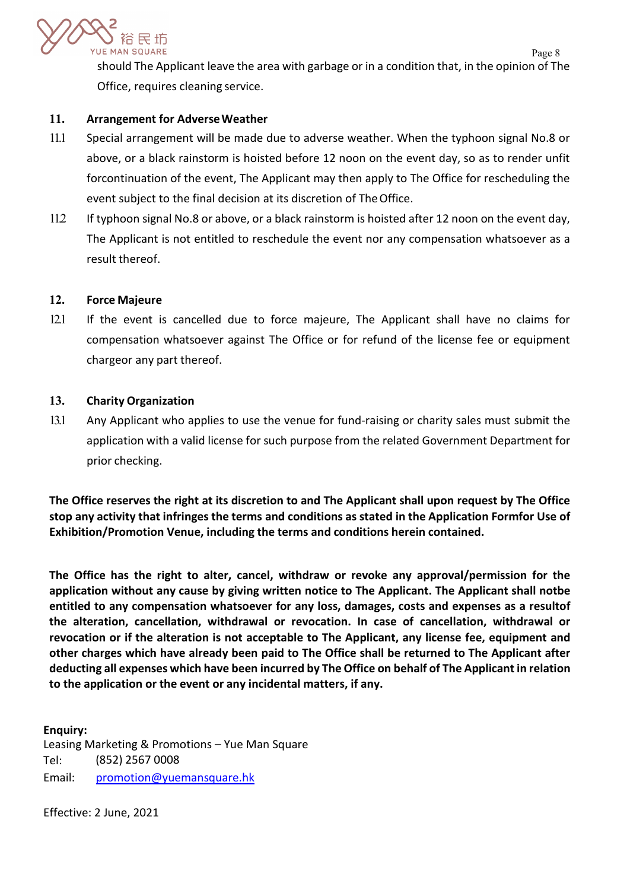

Page 8 should The Applicant leave the area with garbage or in a condition that, in the opinion of The Office, requires cleaning service.

# **11. Arrangement for AdverseWeather**

- 11.1 Special arrangement will be made due to adverse weather. When the typhoon signal No.8 or above, or a black rainstorm is hoisted before 12 noon on the event day, so as to render unfit forcontinuation of the event, The Applicant may then apply to The Office for rescheduling the event subject to the final decision at its discretion of TheOffice.
- 11.2 If typhoon signal No.8 or above, or a black rainstorm is hoisted after 12 noon on the event day, The Applicant is not entitled to reschedule the event nor any compensation whatsoever as a result thereof.

# **12. Force Majeure**

12.1 If the event is cancelled due to force majeure, The Applicant shall have no claims for compensation whatsoever against The Office or for refund of the license fee or equipment chargeor any part thereof.

## **13. Charity Organization**

13.1 Any Applicant who applies to use the venue for fund-raising or charity sales must submit the application with a valid license for such purpose from the related Government Department for prior checking.

**The Office reserves the right at its discretion to and The Applicant shall upon request by The Office stop any activity that infringes the terms and conditions as stated in the Application Formfor Use of Exhibition/Promotion Venue, including the terms and conditions herein contained.**

**The Office has the right to alter, cancel, withdraw or revoke any approval/permission for the application without any cause by giving written notice to The Applicant. The Applicant shall notbe entitled to any compensation whatsoever for any loss, damages, costs and expenses as a resultof the alteration, cancellation, withdrawal or revocation. In case of cancellation, withdrawal or revocation or if the alteration is not acceptable to The Applicant, any license fee, equipment and other charges which have already been paid to The Office shall be returned to The Applicant after deducting all expenses which have been incurred by The Office on behalf of The Applicant in relation to the application or the event or any incidental matters, if any.**

**Enquiry:** Leasing Marketing & Promotions – Yue Man Square Tel: (852) 2567 0008 Email: promotion@yuemansquare.hk

Effective: 2 June, 2021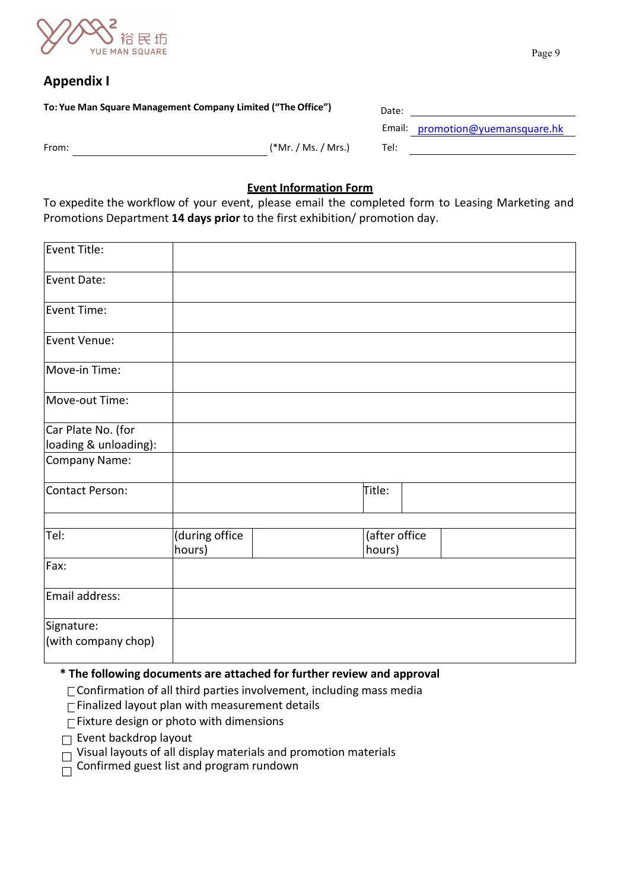

# **Appendix I**

| To: Yue Man Square Management Company Limited ("The Office") |                     | Date: |                                  |
|--------------------------------------------------------------|---------------------|-------|----------------------------------|
|                                                              |                     |       | Email: promotion@yuemansquare.hk |
| From:                                                        | (*Mr. / Ms. / Mrs.) | Tel:  |                                  |
|                                                              |                     |       |                                  |

# **Event Information Form**

To expedite the workflow of your event, please email the completed form to Leasing Marketing and Promotions Department **14 days prior** to the first exhibition/ promotion day.

| Event Title:          |                          |                         |  |
|-----------------------|--------------------------|-------------------------|--|
| Event Date:           |                          |                         |  |
| Event Time:           |                          |                         |  |
| Event Venue:          |                          |                         |  |
| Move-in Time:         |                          |                         |  |
| Move-out Time:        |                          |                         |  |
| Car Plate No. (for    |                          |                         |  |
| loading & unloading): |                          |                         |  |
| Company Name:         |                          |                         |  |
| Contact Person:       |                          | Title:                  |  |
|                       |                          |                         |  |
| Tel:                  | (during office<br>hours) | (after office<br>hours) |  |
| Fax:                  |                          |                         |  |
| Email address:        |                          |                         |  |
| Signature:            |                          |                         |  |
| (with company chop)   |                          |                         |  |

# **\* The following documents are attached for further review and approval**

- $\Gamma$  Confirmation of all third parties involvement, including mass media
- $\Gamma$ Finalized layout plan with measurement details
- $\Gamma$ Fixture design or photo with dimensions
- $\square$  Event backdrop layout
- $\Box$  Visual layouts of all display materials and promotion materials
- $\Box$  Confirmed guest list and program rundown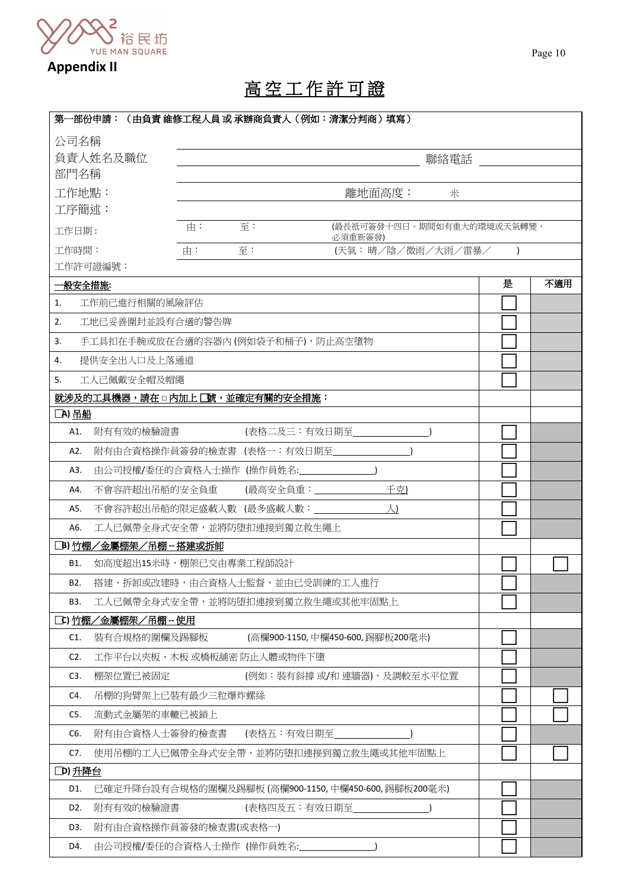

# 高 空 工 作 許 可 證

| 第一部份申請:(由負責 維修工程人員 或 承辦商負責人(例如:清潔分判商)填寫)                  |                            |
|-----------------------------------------------------------|----------------------------|
| 公司名稱                                                      |                            |
| 負責人姓名及職位                                                  | 聯絡電話                       |
| 部門名稱                                                      |                            |
| 工作地點:<br>離地面高度:                                           | 米                          |
| 工序簡述:                                                     |                            |
| 至:<br>由:<br>工作日期:<br>必須重新簽發)                              | (最長祇可簽發十四日。期間如有重大的環境或天氣轉變, |
| 至:<br>工作時間:<br>由:<br>(天氣:晴/陰/微雨/大雨/雷暴/                    | $\lambda$                  |
| 工作許可證編號:                                                  |                            |
| 一般安全措施:                                                   | 是<br>不適用                   |
| 工作前已進行相關的風險評估<br>1.                                       |                            |
| 工地已妥善圍封並設有合適的警告牌<br>2.                                    |                            |
| 手工具扣在手腕或放在合適的容器內(例如袋子和桶子),防止高空墮物<br>3.                    |                            |
| 提供安全出入口及上落通道<br>4.                                        |                            |
| 工人已佩戴安全帽及帽繩<br>5.                                         |                            |
| 就涉及的工具機器,請在口內加上口號,並確定有關的安全措施:                             |                            |
| □A) 吊船                                                    |                            |
| (表格二及三:有效日期至<br>附有有效的檢驗證書<br>A1.                          |                            |
| 附有由合資格操作員簽發的檢查書 (表格一:有效日期至<br>A2.                         |                            |
| 由公司授權/委任的合資格人士操作 (操作員姓名:<br>A3.                           |                            |
| 千克)<br>不會容許超出吊船的安全負重<br>(最高安全負重:______<br>A4.             |                            |
| 不會容許超出吊船的限定盛載人數 (最多盛載人數:<br>人)<br>A5.                     |                            |
| A6.<br>工人已佩帶全身式安全帶,並將防堕扣連接到獨立救生繩上                         |                            |
| [B) 竹棚/金屬棚架/吊棚-搭建或拆卸                                      |                            |
| 如高度超出15米時,棚架已交由專業工程師設計<br>B1.                             |                            |
| 搭建、拆卸或改建時,由合資格人士監督,並由已受訓練的工人進行<br>B2.                     |                            |
| 工人已佩帶全身式安全帶,並將防堕扣連接到獨立救生繩或其他牢固點上<br>B3.                   |                            |
| □C) <u>竹棚/金屬棚架/吊棚 -- 使用</u>                               |                            |
| (高欄900-1150,中欄450-600,踢腳板200毫米)<br>裝有合規格的圍欄及踢腳板<br>C1.    |                            |
| C2.<br>工作平台以夾板、木板 或橋板舖密 防止人體或物件下墮                         |                            |
| C3.<br>棚架位置已被固定<br>(例如:裝有斜撐 或/和 連牆器),及調較至水平位置             |                            |
| 吊棚的狗臂架上已装有最少三粒爆炸螺絲<br>C4.                                 |                            |
| 流動式金屬架的車轆已被鎖上<br>C5.                                      |                            |
| 附有由合資格人士簽發的檢查書<br>(表格五:有效日期至<br>C6.                       |                            |
| 使用吊棚的工人已佩帶全身式安全帶,並將防堕扣連接到獨立救生繩或其他牢固點上<br>C7.              |                            |
| D)升降台                                                     |                            |
| 已確定升降台設有合規格的圍欄及踢腳板 (高欄900-1150,中欄450-600,踢腳板200毫米)<br>D1. |                            |
| (表格四及五:有效日期至<br>D2.<br>附有有效的檢驗證書                          |                            |
| 附有由合資格操作員簽發的檢查書(或表格一)<br>D3.                              |                            |
| 由公司授權/委任的合資格人士操作 (操作員姓名:<br>D4.                           |                            |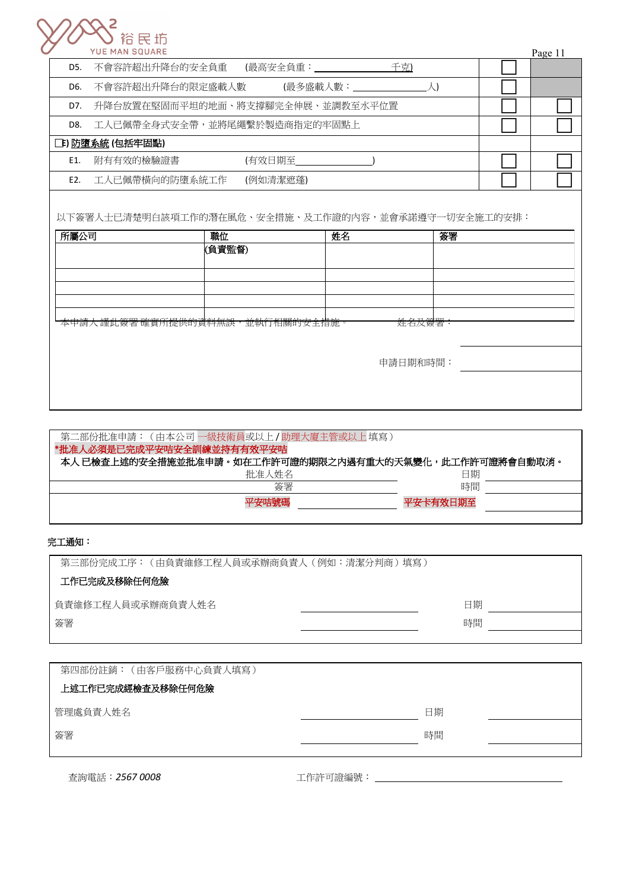

|     | <b>YUE MAN SQUARE</b>            |            |     | Page 11 |
|-----|----------------------------------|------------|-----|---------|
| D5. | 不會容許超出升降台的安全負重                   | (最高安全負重:__ | 千克) |         |
| D6. | 不會容許超出升降台的限定盛載人數                 | (最多盛載人數:   |     |         |
| D7. | 升降台放置在堅固而平坦的地面、將支撐腳完全伸展、並調教至水平位置 |            |     |         |
| D8. | 工人已佩帶全身式安全帶,並將尾繩繫於製造商指定的牢固點上     |            |     |         |
|     | [上] 防墮系統 (包括牢固點)                 |            |     |         |
| E1. | 附有有效的檢驗證書                        | (有效日期至     |     |         |
| E2. | 工人已佩帶橫向的防墮系統工作                   | (例如清潔遮蓬)   |     |         |
|     |                                  |            |     |         |

| 以下簽署人士已清楚明白該項工作的潛在風危、安全措施、及工作證的內容,並會承諾遵守一切安全施工的安排:

| 所屬公司                           | 職位     | 姓名       | 簽署 |
|--------------------------------|--------|----------|----|
|                                | (負責監督) |          |    |
|                                |        |          |    |
|                                |        |          |    |
|                                |        |          |    |
|                                |        |          |    |
| 本申請人謹此簽署確實所提供的資料無誤,並執行相關的安全措施。 |        | 姓名及簽署:   |    |
|                                |        |          |    |
|                                |        | 申請日期和時間: |    |
|                                |        |          |    |
|                                |        |          |    |
|                                |        |          |    |

| 本人 已檢查上述的安全措施並批准申請。如在工作許可證的期限之内遇有重大的天氣變化,此工作許可證將會自動取消。 |  |
|--------------------------------------------------------|--|
| 日期                                                     |  |
| 時間                                                     |  |
| 平安卡有效日期至                                               |  |
|                                                        |  |

### 完工通知:

| 第三部份完成工序: (由負責維修工程人員或承辦商負責人 (例如:清潔分判商)填寫) |    |
|-------------------------------------------|----|
| 工作已完成及移除任何危險                              |    |
| 負責維修工程人員或承辦商負責人姓名                         | 日期 |
| 簽署                                        | 時間 |
|                                           |    |

| 第四部份註銷: (由客戶服務中心負責人填寫) |    |  |
|------------------------|----|--|
| 上述工作已完成經檢查及移除任何危險      |    |  |
| 管理處負責人姓名               | 日期 |  |
| 簽署                     | 時間 |  |
|                        |    |  |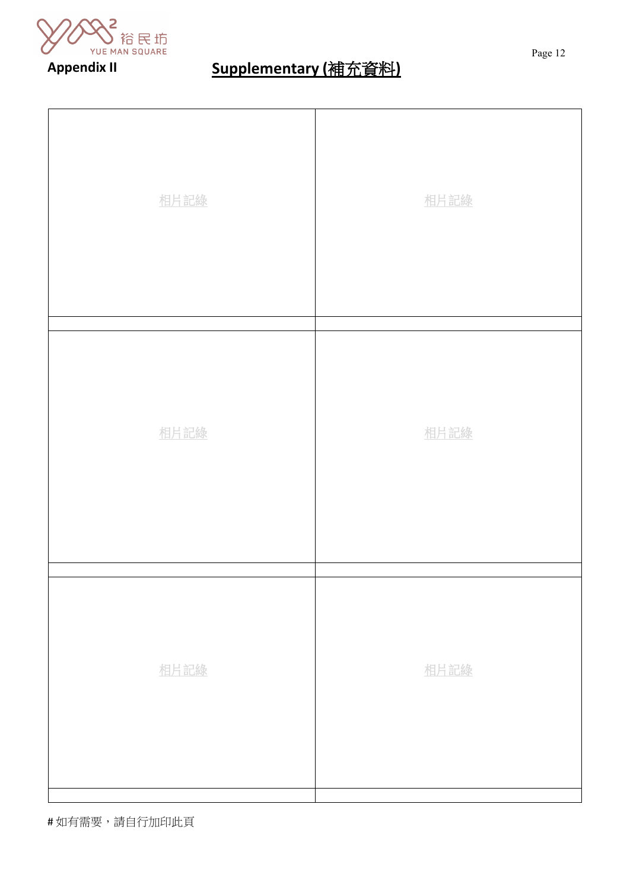

# **Appendix II Supplementary (**補充資料**)**

| 相片記錄 | 相片記錄 |
|------|------|
| 相片記錄 | 相片記錄 |
| 相片記錄 | 相片記錄 |

# 如有需要,請自行加印此頁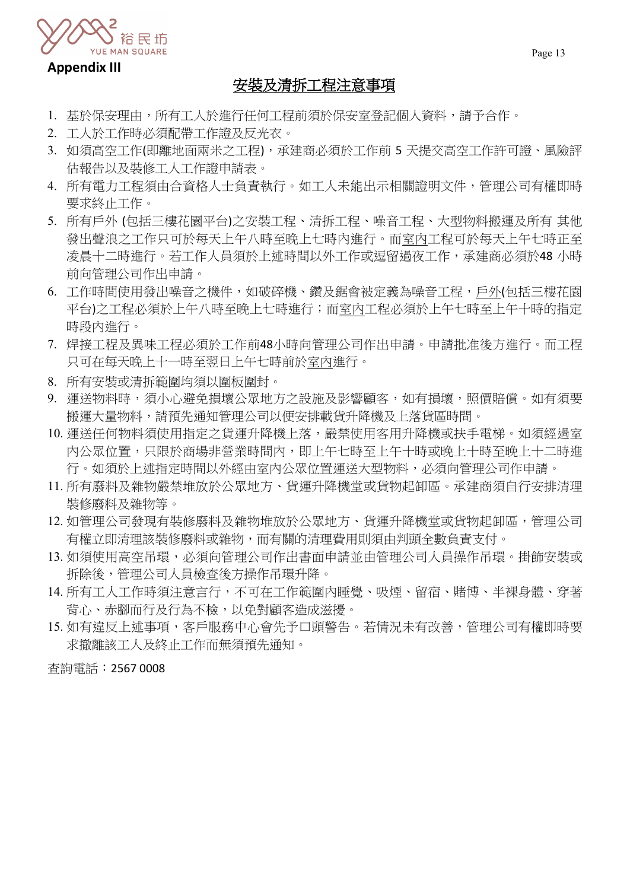

# **Appendix III**

# 安裝及清拆工程注意事項

- 1. 基於保安理由,所有工人於進行任何工程前須於保安室登記個人資料,請予合作。
- 2. 工人於工作時必須配帶工作證及反光衣。
- 3. 如須高空工作(即離地面兩米之工程),承建商必須於工作前 5 天提交高空工作許可證、風險評 估報告以及裝修工人工作證申請表。
- 4. 所有電力工程須由合資格人士負責執行。如工人未能出示相關證明文件,管理公司有權即時 要求終止工作。
- 5. 所有戶外 (包括三樓花園平台)之安裝工程、清拆工程、噪音工程、大型物料搬運及所有 其他 發出聲浪之工作只可於每天上午八時至晚上七時內進行。而室內工程可於每天上午七時正至 凌晨十二時進行。若工作人員須於上述時間以外工作或逗留過夜工作,承建商必須於48 小時 前向管理公司作出申請。
- 6. 工作時間使用發出噪音之機件,如破碎機、鑽及鋸會被定義為噪音工程,戶外(包括三樓花園 平台)之工程必須於上午八時至晚上七時進行;而室內工程必須於上午七時至上午十時的指定 時段內進行。
- 7. 焊接工程及異味工程必須於工作前48小時向管理公司作出申請。申請批准後方進行。而工程 只可在每天晚上十一時至翌日上午七時前於室內進行。
- 8. 所有安裝或清拆範圍均須以圍板圍封。
- 9. 運送物料時,須小心避免損壞公眾地方之設施及影響顧客,如有損壞,照價賠償。如有須要 搬運大量物料,請預先通知管理公司以便安排載貨升降機及上落貨區時間。
- 10. 運送任何物料須使用指定之貨運升降機上落,嚴禁使用客用升降機或扶手電梯。如須經過室 內公眾位置,只限於商場非營業時間內,即上午七時至上午十時或晚上十時至晚上十二時進 行。如須於上述指定時間以外經由室內公眾位置運送大型物料,必須向管理公司作申請。
- 11. 所有廢料及雜物嚴禁堆放於公眾地方、貨運升降機堂或貨物起卸區。承建商須自行安排清理 裝修廢料及雜物等。
- 12. 如管理公司發現有裝修廢料及雜物堆放於公眾地方、貨運升降機堂或貨物起卸區,管理公司 有權立即清理該裝修廢料或雜物,而有關的清理費用則須由判頭全數負責支付。
- 13. 如須使用高空吊環,必須向管理公司作出書面申請並由管理公司人員操作吊環。掛飾安裝或 拆除後,管理公司人員檢查後方操作吊環升降。
- 14. 所有工人工作時須注意言行,不可在工作範圍內睡覺、吸煙、留宿、賭博、半裸身體、穿著 背心、赤腳而行及行為不檢,以免對顧客造成滋擾。
- 15. 如有違反上述事項,客戶服務中心會先予口頭警告。若情況未有改善,管理公司有權即時要 求撤離該工人及終止工作而無須預先通知。

查詢電話︰2567 0008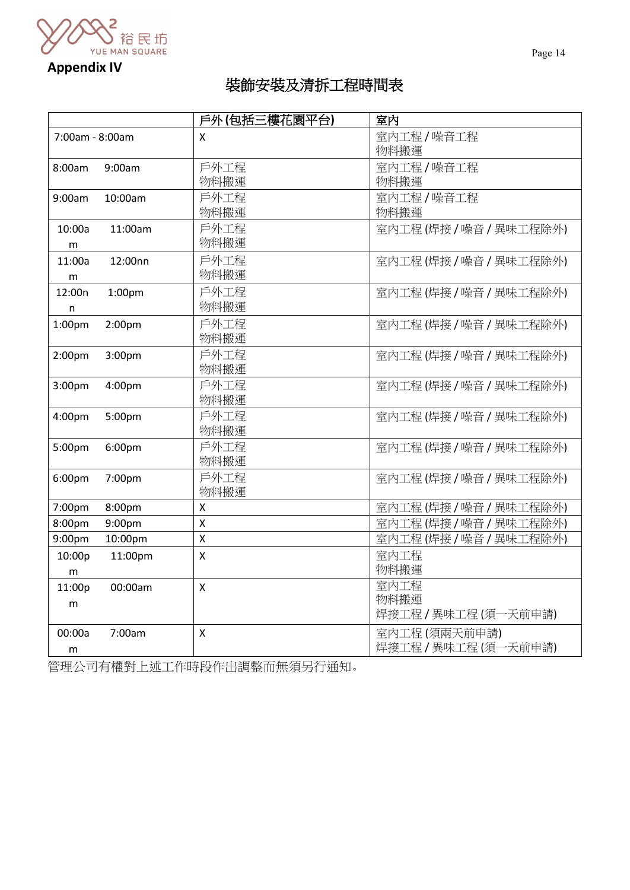

**Appendix IV**

# 裝飾安裝及清拆工程時間表

|                                          | 戶外(包括三樓花園平台)              | 室内                                   |
|------------------------------------------|---------------------------|--------------------------------------|
| 7:00am - 8:00am                          | X                         | 室内工程/噪音工程<br>物料搬運                    |
| 9:00am<br>8:00am                         | 戶外工程<br>物料搬運              | 室内工程/噪音工程<br>物料搬運                    |
| 10:00am<br>9:00am                        | 戶外工程<br>物料搬運              | 室内工程/噪音工程<br>物料搬運                    |
| 11:00am<br>10:00a<br>m                   | 戶外工程<br>物料搬運              | 室内工程(焊接/噪音/異味工程除外)                   |
| 11:00a<br>12:00nn<br>m                   | 戶外工程<br>物料搬運              | 室内工程(焊接/噪音/異味工程除外)                   |
| 12:00n<br>1:00 <sub>pm</sub><br>n        | 戶外工程<br>物料搬運              | 室内工程(焊接/噪音/異味工程除外)                   |
| 1:00 <sub>pm</sub><br>2:00 <sub>pm</sub> | 戶外工程<br>物料搬運              | 室内工程(焊接/噪音/異味工程除外)                   |
| 2:00 <sub>pm</sub><br>3:00pm             | 戶外工程<br>物料搬運              | 室内工程(焊接/噪音/異味工程除外)                   |
| 3:00pm<br>4:00pm                         | 戶外工程<br>物料搬運              | 室内工程(焊接/噪音/異味工程除外)                   |
| 4:00pm<br>5:00pm                         | 戶外工程<br>物料搬運              | 室内工程(焊接/噪音/異味工程除外)                   |
| 5:00pm<br>6:00pm                         | 戶外工程<br>物料搬運              | 室内工程(焊接/噪音/異味工程除外)                   |
| 6:00 <sub>pm</sub><br>7:00pm             | 戶外工程<br>物料搬運              | 室内工程(焊接/噪音/異味工程除外)                   |
| 7:00pm<br>8:00pm                         | $\mathsf{x}$              | 室内工程(焊接/噪音/異味工程除外)                   |
| 8:00pm<br>9:00pm                         | $\mathsf{\overline{X}}$   | 室内工程(焊接/噪音/異味工程除外)                   |
| 9:00pm<br>10:00pm                        | $\mathsf{X}$              | 室内工程(焊接/噪音/異味工程除外)                   |
| 10:00p<br>11:00pm                        | $\mathsf{x}$              | 室内工程                                 |
| ${\sf m}$                                |                           | 物料搬運                                 |
| 11:00p<br>00:00am                        | $\mathsf{x}$              | 室内工程                                 |
| m                                        |                           | 物料搬運<br>焊接工程 / 異味工程 (須一天前申請)         |
| 00:00a<br>7:00am<br>m                    | $\boldsymbol{\mathsf{X}}$ | 室内工程(須兩天前申請)<br>焊接工程 / 異味工程 (須一天前申請) |

管理公司有權對上述工作時段作出調整而無須另行通知。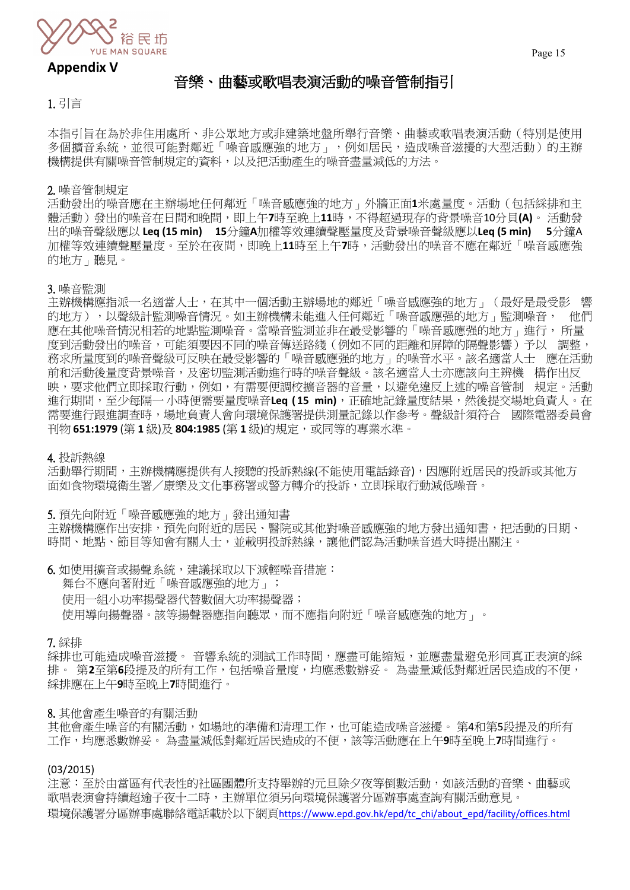

# **Appendix V**

# 音樂、曲藝或歌唱表演活動的噪音管制指引

1. 引言

本指引旨在為於非住用處所、非公眾地方或非建築地盤所舉行音樂、曲藝或歌唱表演活動(特別是使用 多個擴音系統,並很可能對鄰近「噪音感應強的地方」,例如居民,造成噪音滋擾的大型活動)的主辦 機構提供有關噪音管制規定的資料,以及把活動產生的噪音盡量減低的方法。

#### 2. 噪音管制規定

活動發出的噪音應在主辦場地任何鄰近「噪音感應強的地方」外牆正面**1**米處量度。活動(包括綵排和主 體活動)發出的噪音在日間和晚間,即上午**7**時至晚上**11**時,不得超過現存的背景噪音10分貝**(A)**。 活動發 出的噪音聲級應以 **Leq (15 min) 15**分鐘**A**加權等效連續聲壓量度及背景噪音聲級應以**Leq (5 min) 5**分鐘A 加權等效連續聲壓量度。至於在夜間,即晚上**11**時至上午**7**時,活動發出的噪音不應在鄰近「噪音感應強 的地方」聽見。

#### 3. 噪音監測

主辦機構應指派一名適當人士,在其中一個活動主辦場地的鄰近「噪音感應強的地方」(最好是最受影 響 的地方),以聲級計監測噪音情況。如主辦機構未能進入任何鄰近「噪音感應强的地方」監測噪音, 他們 應在其他噪音情況相若的地點監測噪音。當噪音監測並非在最受影響的「噪音感應强的地方」進行, 所量 度到活動發出的噪音,可能須要因不同的噪音傳送路綫(例如不同的距離和屏障的隔聲影響)予以 調整, 務求所量度到的噪音聲級可反映在最受影響的「噪音感應强的地方」的噪音水平。該名適當人士 應在活動 前和活動後量度背景噪音,及密切監測活動進行時的噪音聲級。該名適當人士亦應該向主辨機 構作出反 映,要求他們立即採取行動,例如,有需要便調校擴音器的音量,以避免違反上述的噪音管制 規定。活動 進行期間,至少每隔一 小時便需要量度噪音**Leq ( 15 min)**,正確地記錄量度結果,然後提交場地負責人。在 需要進行跟進調查時,場地負責人會向環境保護署提供測量記錄以作參考。聲級計須符合 國際電器委員會 刊物 **651:1979** (第 **1** 級)及 **804:1985** (第 **1** 級)的規定,或同等的專業水準。

#### 4. 投訴熱線

活動舉行期間,主辦機構應提供有人接聽的投訴熱線(不能使用電話錄音),因應附近居民的投訴或其他方 面如食物環境衛生署/康樂及文化事務署或警方轉介的投訴,立即採取行動減低噪音。

5. 預先向附近「噪音感應強的地方」發出通知書

主辦機構應作出安排,預先向附近的居民、醫院或其他對噪音感應強的地方發出通知書,把活動的日期、 時間、地點、節目等知會有關人士,並載明投訴熱線,讓他們認為活動噪音過大時提出關注。

6. 如使用擴音或揚聲系統,建議採取以下減輕噪音措施:

舞台不應向著附近「噪音感應強的地方」;

使用一組小功率揚聲器代替數個大功率揚聲器;

使用導向揚聲器。該等揚聲器應指向聽眾,而不應指向附近「噪音感應強的地方」。

#### 7. 綵排

綵排也可能造成噪音滋擾。 音響系統的測試工作時間,應盡可能縮短,並應盡量避免形同真正表演的綵 排。 第2至第6段提及的所有工作,包括噪音量度,均應悉數辦妥。 為盡量減低對鄰近居民造成的不便, 綵排應在上午**9**時至晚上**7**時間進行。

#### 8. 其他會產生噪音的有關活動

其他會產生噪音的有關活動,如場地的準備和清理工作,也可能造成噪音滋擾。 第4和第5段提及的所有 工作,均應悉數辦妥。 為盡量減低對鄰近居民造成的不便,該等活動應在上午**9**時至晚上**7**時間進行。

#### (03/2015)

注意:至於由當區有代表性的社區團體所支持舉辦的元旦除夕夜等倒數活動,如該活動的音樂、曲藝或 歌唱表演會持續超逾子夜十二時,主辦單位須另向環境保護署分區辦事處查詢有關活動意見。 環境保護署分區辦事處聯絡電話載於以下網頁[https://www.epd.gov.hk/epd/tc\\_chi/about\\_epd/facility/offices.html](https://www.epd.gov.hk/epd/tc_chi/about_epd/facility/offices.html)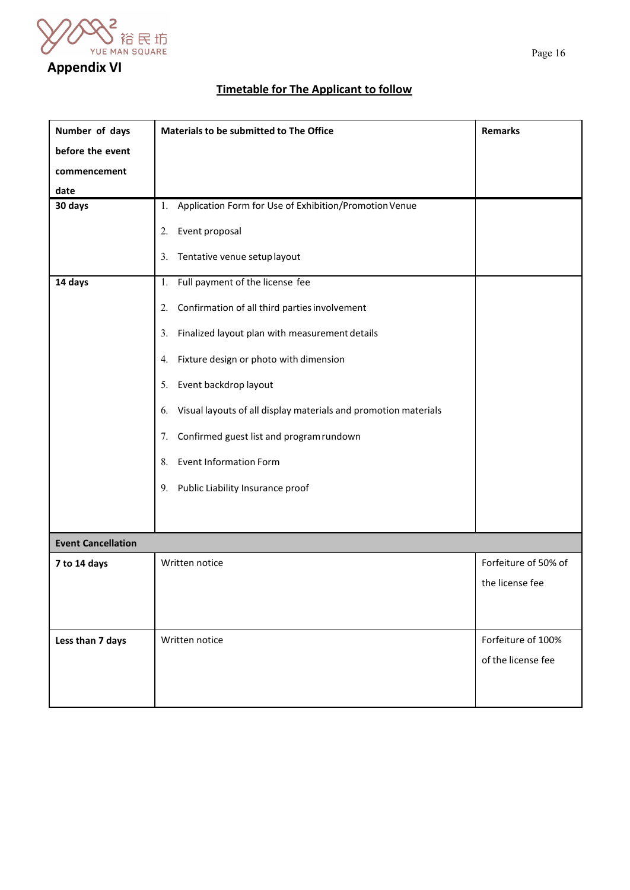

# **Appendix VI**

# **Timetable for The Applicant to follow**

| Number of days            | Materials to be submitted to The Office                               | <b>Remarks</b>       |  |
|---------------------------|-----------------------------------------------------------------------|----------------------|--|
| before the event          |                                                                       |                      |  |
| commencement              |                                                                       |                      |  |
| date                      |                                                                       |                      |  |
| 30 days                   | Application Form for Use of Exhibition/Promotion Venue<br>1.          |                      |  |
|                           | Event proposal<br>2.                                                  |                      |  |
|                           | Tentative venue setup layout<br>3.                                    |                      |  |
| 14 days                   | Full payment of the license fee<br>1.                                 |                      |  |
|                           | Confirmation of all third parties involvement<br>2.                   |                      |  |
|                           | Finalized layout plan with measurement details<br>3.                  |                      |  |
|                           | Fixture design or photo with dimension<br>4.                          |                      |  |
|                           | Event backdrop layout<br>5.                                           |                      |  |
|                           | Visual layouts of all display materials and promotion materials<br>6. |                      |  |
|                           | Confirmed guest list and program rundown<br>7.                        |                      |  |
|                           | <b>Event Information Form</b><br>8.                                   |                      |  |
|                           | Public Liability Insurance proof<br>9.                                |                      |  |
|                           |                                                                       |                      |  |
| <b>Event Cancellation</b> |                                                                       |                      |  |
| 7 to 14 days              | Written notice                                                        | Forfeiture of 50% of |  |
|                           |                                                                       | the license fee      |  |
|                           |                                                                       |                      |  |
| Less than 7 days          | Written notice                                                        | Forfeiture of 100%   |  |
|                           |                                                                       | of the license fee   |  |
|                           |                                                                       |                      |  |
|                           |                                                                       |                      |  |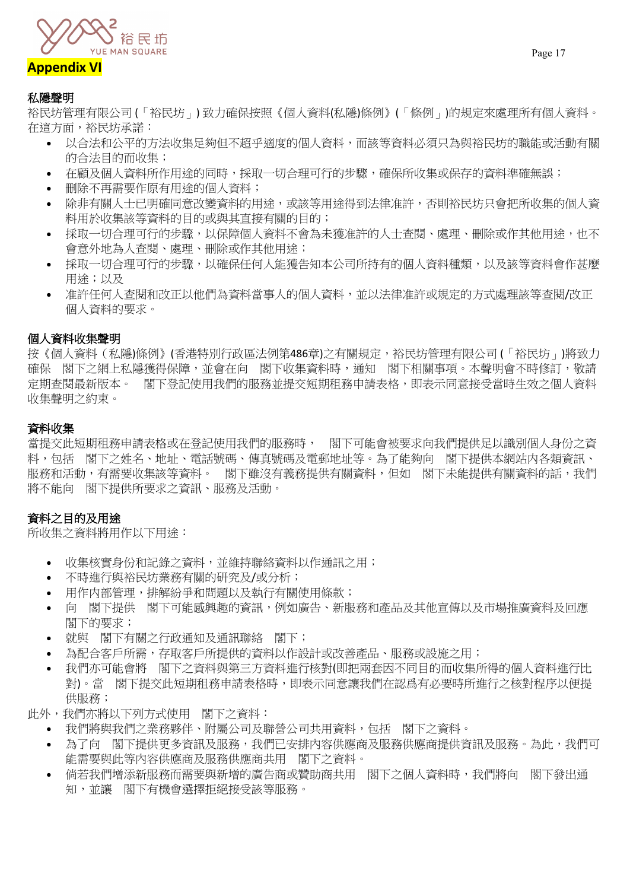

# **Appendix VI**

## 私隱聲明

裕民坊管理有限公司 (「裕民坊」) 致力確保按照《個人資料(私隱)條例》(「條例」)的規定來處理所有個人資料。 在這方面,裕民坊承諾:

- 以合法和公平的方法收集足夠但不超乎適度的個人資料,而該等資料必須只為與裕民坊的職能或活動有關 的合法目的而收集;
- 在顧及個人資料所作用途的同時,採取一切合理可行的步驟,確保所收集或保存的資料準確無誤;
- 刪除不再需要作原有用途的個人資料;
- 除非有關人士已明確同意改變資料的用途,或該等用途得到法律准許,否則裕民坊只會把所收集的個人資 料用於收集該等資料的目的或與其直接有關的目的;
- 採取一切合理可行的步驟,以保障個人資料不會為未獲准許的人士查閱、處理、刪除或作其他用途,也不 會意外地為人查閱、處理、刪除或作其他用途;
- 採取一切合理可行的步驟,以確保任何人能獲告知本公司所持有的個人資料種類,以及該等資料會作甚麼 用途;以及
- 准許任何人查閱和改正以他們為資料當事人的個人資料,並以法律准許或規定的方式處理該等查閱/改正 個人資料的要求。

# 個人資料收集聲明

按《個人資料(私隱)條例》(香港特別行政區法例第486章)之有關規定,裕民坊管理有限公司 (「裕民坊」)將致力 確保 閣下之網上私隱獲得保障,並會在向 閣下收集資料時,通知 閣下相關事項。本聲明會不時修訂,敬請 定期查閱最新版本。 閣下登記使用我們的服務並提交短期租務申請表格,即表示同意接受當時生效之個人資料 收集聲明之約束。

# 資料收集

當提交此短期租務申請表格或在登記使用我們的服務時, 閣下可能會被要求向我們提供足以識別個人身份之資 料,包括 閣下之姓名、地址、電話號碼、傳真號碼及電郵地址等。為了能夠向 閣下提供本網站内各類資訊、 服務和活動,有需要收集該等資料。 閣下雖沒有義務提供有關資料,但如 閣下未能提供有關資料的話,我們 將不能向 閣下提供所要求之資訊、服務及活動。

# 資料之目的及用途

所收集之資料將用作以下用途:

- 收集核實身份和記錄之資料,並維持聯絡資料以作通訊之用;
- 不時進行與裕民坊業務有關的研究及/或分析;
- 用作内部管理,排解紛爭和問題以及執行有關使用條款;
- 向 閣下提供 閣下可能感興趣的資訊,例如廣告、新服務和產品及其他宣傳以及市場推廣資料及回應 閣下的要求;
- 就與 閣下有關之行政通知及通訊聯絡 閣下;
- 為配合客戶所需,存取客戶所提供的資料以作設計或改善產品、服務或設施之用;
- 我們亦可能會將 閣下之資料與第三方資料進行核對(即把兩套因不同目的而收集所得的個人資料進行比 對)。當 閣下提交此短期租務申請表格時,即表示同意讓我們在認爲有必要時所進行之核對程序以便提 供服務;

此外,我們亦將以下列方式使用 閣下之資料:

- 我們將與我們之業務夥伴、附屬公司及聯營公司共用資料,包括 閣下之資料。
- 為了向 閣下提供更多資訊及服務,我們已安排內容供應商及服務供應商提供資訊及服務。為此,我們可 能需要與此等內容供應商及服務供應商共用 閣下之資料。
- 倘若我們增添新服務而需要與新增的廣告商或贊助商共用 閣下之個人資料時,我們將向 閣下發出通 知,並讓 閣下有機會選擇拒絕接受該等服務。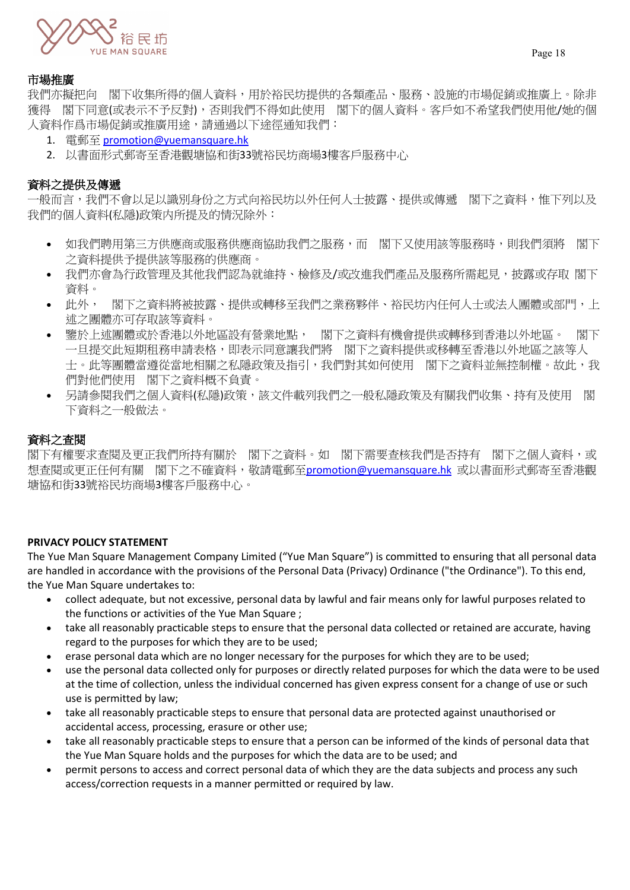

# 市場推廣

我們亦擬把向 閣下收集所得的個人資料,用於裕民坊提供的各類產品、服務、設施的市場促銷或推廣上。除非 獲得 閣下同意(或表示不予反對),否則我們不得如此使用 閣下的個人資料。客戶如不希望我們使用他/她的個 人資料作爲市場促銷或推廣用途,請通過以下途徑通知我們:

- 1. 電郵至 [promotion@yuemansquare.hk](mailto:promotion@yuemansquare.hk)
- 2. 以書面形式郵寄至香港觀塘協和街33號裕民坊商場3樓客戶服務中心

# 資料之提供及傳遞

-般而言,我們不會以足以識別身份之方式向裕民坊以外任何人士披露、提供或傳遞 閣下之資料,惟下列以及 我們的個人資料(私隱)政策内所提及的情況除外:

- 如我們聘用第三方供應商或服務供應商協助我們之服務,而 閣下又使用該等服務時,則我們須將 閣下 之資料提供予提供該等服務的供應商。
- 我們亦會為行政管理及其他我們認為就維持、檢修及/或改進我們產品及服務所需起見,披露或存取 閣下 資料。
- 此外, 閣下之資料將被披露、提供或轉移至我們之業務夥伴、裕民坊內任何人士或法人團體或部門,上 述之團體亦可存取該等資料。
- 鑒於上述團體或於香港以外地區設有營業地點, 閣下之資料有機會提供或轉移到香港以外地區。 閣下 一旦提交此短期租務申請表格,即表示同意讓我們將 閣下之資料提供或移轉至香港以外地區之該等人 士。此等團體當遵從當地相關之私隱政策及指引,我們對其如何使用 閣下之資料並無控制權。故此,我 們對他們使用 閣下之資料概不負責。
- 另請參閱我們之個人資料(私隱)政策,該文件載列我們之一般私隱政策及有關我們收集、持有及使用 閣 下資料之一般做法。

# 資料之查閱

閣下有權要求查閱及更正我們所持有關於 閣下之資料。如 閣下需要查核我們是否持有 閣下之個人資料,或 想查閱或更正任何有關 閣下之不確資料,敬請電郵至[promotion@yuemansquare.hk](mailto:promotion@yuemansquare.hk) 或以書面形式郵寄至香港觀 塘協和街33號裕民坊商場3樓客戶服務中心。

### **PRIVACY POLICY STATEMENT**

The Yue Man Square Management Company Limited ("Yue Man Square") is committed to ensuring that all personal data are handled in accordance with the provisions of the Personal Data (Privacy) Ordinance ("the Ordinance"). To this end, the Yue Man Square undertakes to:

- collect adequate, but not excessive, personal data by lawful and fair means only for lawful purposes related to the functions or activities of the Yue Man Square ;
- take all reasonably practicable steps to ensure that the personal data collected or retained are accurate, having regard to the purposes for which they are to be used;
- erase personal data which are no longer necessary for the purposes for which they are to be used;
- use the personal data collected only for purposes or directly related purposes for which the data were to be used at the time of collection, unless the individual concerned has given express consent for a change of use or such use is permitted by law;
- take all reasonably practicable steps to ensure that personal data are protected against unauthorised or accidental access, processing, erasure or other use;
- take all reasonably practicable steps to ensure that a person can be informed of the kinds of personal data that the Yue Man Square holds and the purposes for which the data are to be used; and
- permit persons to access and correct personal data of which they are the data subjects and process any such access/correction requests in a manner permitted or required by law.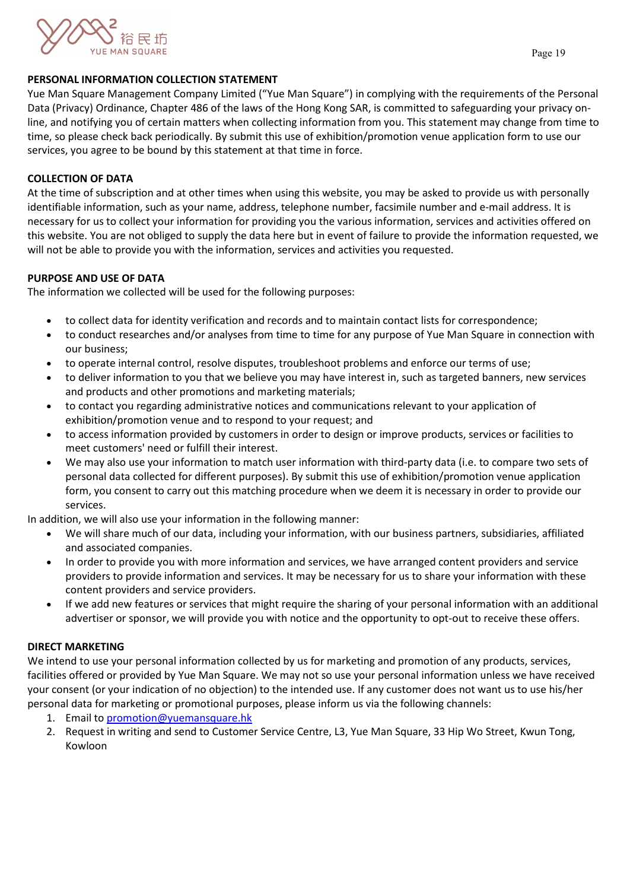

### **PERSONAL INFORMATION COLLECTION STATEMENT**

Yue Man Square Management Company Limited ("Yue Man Square") in complying with the requirements of the Personal Data (Privacy) Ordinance, Chapter 486 of the laws of the Hong Kong SAR, is committed to safeguarding your privacy online, and notifying you of certain matters when collecting information from you. This statement may change from time to time, so please check back periodically. By submit this use of exhibition/promotion venue application form to use our services, you agree to be bound by this statement at that time in force.

## **COLLECTION OF DATA**

At the time of subscription and at other times when using this website, you may be asked to provide us with personally identifiable information, such as your name, address, telephone number, facsimile number and e-mail address. It is necessary for us to collect your information for providing you the various information, services and activities offered on this website. You are not obliged to supply the data here but in event of failure to provide the information requested, we will not be able to provide you with the information, services and activities you requested.

# **PURPOSE AND USE OF DATA**

The information we collected will be used for the following purposes:

- to collect data for identity verification and records and to maintain contact lists for correspondence;
- to conduct researches and/or analyses from time to time for any purpose of Yue Man Square in connection with our business;
- to operate internal control, resolve disputes, troubleshoot problems and enforce our terms of use;
- to deliver information to you that we believe you may have interest in, such as targeted banners, new services and products and other promotions and marketing materials;
- to contact you regarding administrative notices and communications relevant to your application of exhibition/promotion venue and to respond to your request; and
- to access information provided by customers in order to design or improve products, services or facilities to meet customers' need or fulfill their interest.
- We may also use your information to match user information with third-party data (i.e. to compare two sets of personal data collected for different purposes). By submit this use of exhibition/promotion venue application form, you consent to carry out this matching procedure when we deem it is necessary in order to provide our services.

In addition, we will also use your information in the following manner:

- We will share much of our data, including your information, with our business partners, subsidiaries, affiliated and associated companies.
- In order to provide you with more information and services, we have arranged content providers and service providers to provide information and services. It may be necessary for us to share your information with these content providers and service providers.
- If we add new features or services that might require the sharing of your personal information with an additional advertiser or sponsor, we will provide you with notice and the opportunity to opt-out to receive these offers.

# **DIRECT MARKETING**

We intend to use your personal information collected by us for marketing and promotion of any products, services, facilities offered or provided by Yue Man Square. We may not so use your personal information unless we have received your consent (or your indication of no objection) to the intended use. If any customer does not want us to use his/her personal data for marketing or promotional purposes, please inform us via the following channels:

- 1. Email to [promotion@yuemansquare.hk](mailto:promotion@yuemansquare.hk)
- 2. Request in writing and send to Customer Service Centre, L3, Yue Man Square, 33 Hip Wo Street, Kwun Tong, Kowloon